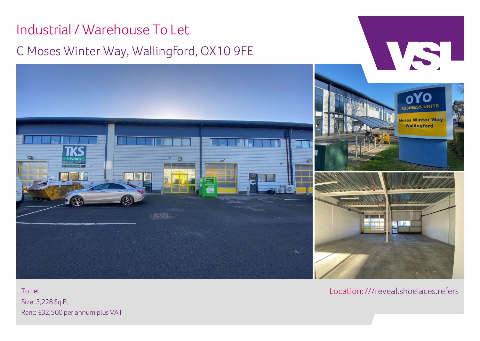# Industrial/ Warehouse To Let WSL C Moses Winter Way, Wallingford, OX10 9FE **Moses Winter Way** Wallingford

To Let Size: 3,228 Sq Ft Rent: £32,500 per annum plus VAT Location:[///reveal.shoelaces.refers](https://w3w.co/reveal.shoelaces.refers)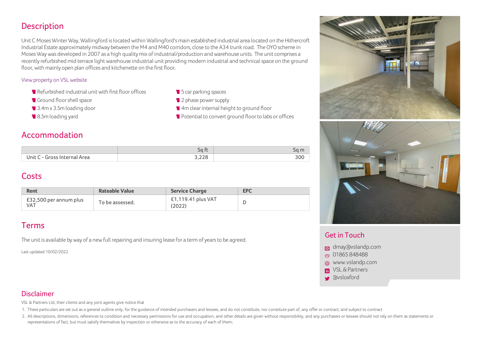# **Description**

Unit C MosesWinterWay,Wallingford islocated within Wallingford'smain established industrial area located on the Hithercroft Industrial Estate approximately midway between the M4 and M40 corridors, close to the A34 trunk road. The OYO scheme in Moses Way was developed in 2007 as a high quality mix of industrial/production and warehouse units. The unit comprises a recently refurbished mid terrace lightwarehouse industrial unit providing modern industrial and technical space on the ground floor, with mainly open plan offices and kitchenette on the first floor.

#### View property on VSL website

- $\blacksquare$  Refurbished industrial unit with first floor offices
- Ground floor shell space
- 3.4mx 3.5mloading door
- 8.5m loading yard
- **5** Car parking spaces
- <sup>2</sup> 2 phase power supply
- 4m clear internal height to ground floor
- **Potential to convert ground floor to labs or offices**

### Accommodation

|                                                   | sq              | sa m |
|---------------------------------------------------|-----------------|------|
| Jnit '<br>Area<br>$\ldots$ - (incernal)<br>tornal | $\cap$<br>J,∠∠O | 300  |

# **Costs**

| Rent                                 | Rateable Value  | <b>Service Charge</b>        | <b>EPC</b> |
|--------------------------------------|-----------------|------------------------------|------------|
| £32,500 per annum plus<br><b>VAT</b> | To be assessed. | £1,119.41 plus VAT<br>(2022) |            |

# Terms

The unit is available by way of a new full repairing and insuring lease for a term of years to be agreed.

Last updated 10/02/2022



#### Get in Touch

- [dmay@vslandp.com](mailto:dmay@vslandp.com)
- 601865[848488](tel:01865%20848488)
- a [www.vslandp.com](http://vslandp.com/properties/)
- **In VSL & Partners**
- **a**vsloxford

#### Disclaimer

VSL & Partners Ltd, their clients and any joint agents give notice that

1. These particulars are set out as a general outline only, for the guidance of intended purchasers and lessees, and do not constitute, nor constitute part of, any offer or contract; and subject to contract

2. All descriptions, dimensions, references to condition and necessary permissions for use and occupation, and other details are given without responsibility, and any purchasers or lessees should not rely on them as statem representations of fact, but must satisfy themselves by inspection or otherwise as to the accuracy of each of them;